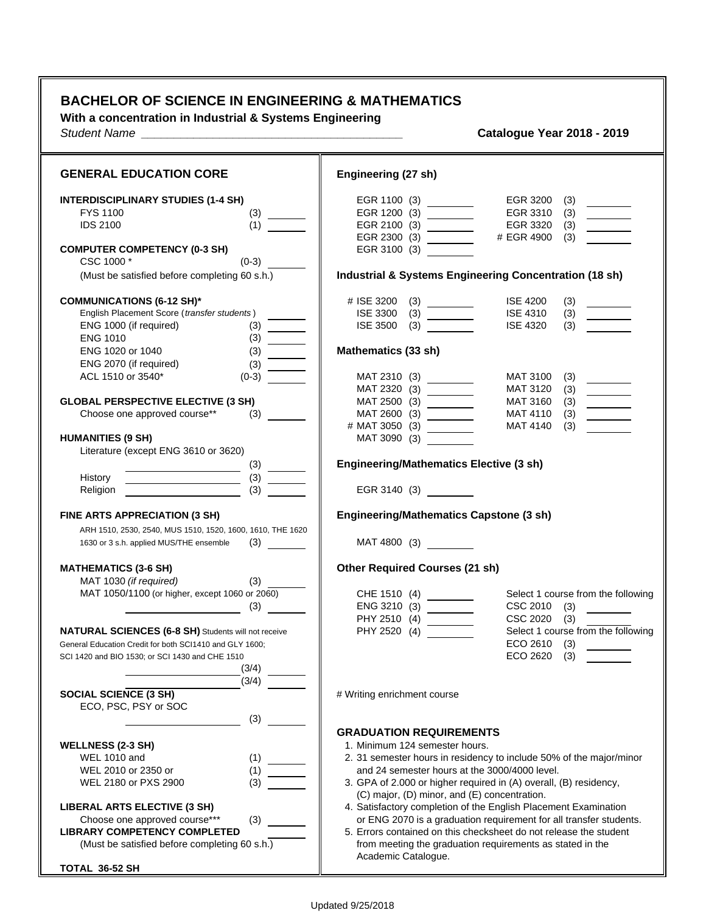## **BACHELOR OF SCIENCE IN ENGINEERING & MATHEMATICS**

**With a concentration in Industrial & Systems Engineering**

*Student Name \_\_\_\_\_\_\_\_\_\_\_\_\_\_\_\_\_\_\_\_\_\_\_\_\_\_\_\_\_\_\_\_\_\_\_\_\_\_\_\_* **Catalogue Year 2018 - 2019**

| <b>GENERAL EDUCATION CORE</b>                                                                                                                                                              | Engineering (27 sh)                                                                                                                                                                                                                                                                                                                                                                                                                                                                                                                                                                                                                                                                                                                                     |
|--------------------------------------------------------------------------------------------------------------------------------------------------------------------------------------------|---------------------------------------------------------------------------------------------------------------------------------------------------------------------------------------------------------------------------------------------------------------------------------------------------------------------------------------------------------------------------------------------------------------------------------------------------------------------------------------------------------------------------------------------------------------------------------------------------------------------------------------------------------------------------------------------------------------------------------------------------------|
| <b>INTERDISCIPLINARY STUDIES (1-4 SH)</b><br>FYS 1100<br>(3)<br><b>IDS 2100</b><br>(1)<br><b>COMPUTER COMPETENCY (0-3 SH)</b>                                                              | EGR 1100 (3) ________<br>EGR 3200<br>(3)<br>EGR 3310<br>(3)<br>EGR 2100 (3) $\overline{\qquad \qquad }$<br>EGR 3320<br>(3)<br>$\frac{1}{1}$<br># EGR 4900<br>EGR 2300 (3) _________<br>(3)<br>EGR 3100 (3)                                                                                                                                                                                                                                                                                                                                                                                                                                                                                                                                              |
| CSC 1000 *<br>$(0-3)$<br>(Must be satisfied before completing 60 s.h.)                                                                                                                     | <b>Industrial &amp; Systems Engineering Concentration (18 sh)</b>                                                                                                                                                                                                                                                                                                                                                                                                                                                                                                                                                                                                                                                                                       |
| <b>COMMUNICATIONS (6-12 SH)*</b><br>English Placement Score (transfer students)<br>ENG 1000 (if required)<br>(3)<br><b>ENG 1010</b>                                                        | <b>ISE 4200</b><br># ISE 3200<br>(3)<br>$\begin{tabular}{ c c c } \hline \quad \quad & \quad \quad & \quad \quad \\ \hline \quad \quad & \quad \quad & \quad \quad \\ \hline \quad \quad & \quad \quad & \quad \quad \\ \hline \quad \quad & \quad \quad & \quad \quad \\ \hline \quad \quad & \quad \quad & \quad \quad \\ \hline \quad \quad & \quad \quad & \quad \quad \\ \hline \quad \quad & \quad \quad & \quad \quad \\ \hline \quad \quad & \quad \quad & \quad \quad \\ \hline \quad \quad & \quad \quad & \quad \quad \\ \hline \quad \quad & \quad \quad & \quad \quad \\ \hline \quad \quad & \quad \quad & \quad \quad \\ \hline \quad \quad &$<br><b>ISE 3300</b><br><b>ISE 4310</b><br>(3)<br><b>ISE 4320</b><br><b>ISE 3500</b><br>(3) |
| ENG 1020 or 1040<br>(3)<br>ENG 2070 (if required)<br>$\frac{(3)}{(0-3)}$                                                                                                                   | Mathematics (33 sh)                                                                                                                                                                                                                                                                                                                                                                                                                                                                                                                                                                                                                                                                                                                                     |
| ACL 1510 or 3540*<br><b>GLOBAL PERSPECTIVE ELECTIVE (3 SH)</b><br>Choose one approved course**<br>(3)                                                                                      | MAT 2310 (3)<br>MAT 2320 (3)<br>MAT 3100<br>(3)<br>E<br>MAT 3120<br>(3)<br><b>MAT 3160</b><br>(3)<br>MAT 2600 (3)<br>MAT 4110<br>(3)<br><b>MAT 4140</b><br>(3)                                                                                                                                                                                                                                                                                                                                                                                                                                                                                                                                                                                          |
| <b>HUMANITIES (9 SH)</b><br>Literature (except ENG 3610 or 3620)                                                                                                                           | MAT 3090 (3)                                                                                                                                                                                                                                                                                                                                                                                                                                                                                                                                                                                                                                                                                                                                            |
| (3)<br>History<br>(3)<br>Religion                                                                                                                                                          | <b>Engineering/Mathematics Elective (3 sh)</b><br>EGR 3140 (3)                                                                                                                                                                                                                                                                                                                                                                                                                                                                                                                                                                                                                                                                                          |
| FINE ARTS APPRECIATION (3 SH)<br>ARH 1510, 2530, 2540, MUS 1510, 1520, 1600, 1610, THE 1620                                                                                                | <b>Engineering/Mathematics Capstone (3 sh)</b>                                                                                                                                                                                                                                                                                                                                                                                                                                                                                                                                                                                                                                                                                                          |
| 1630 or 3 s.h. applied MUS/THE ensemble<br>$(3) \quad \qquad \qquad$                                                                                                                       | MAT 4800 (3)                                                                                                                                                                                                                                                                                                                                                                                                                                                                                                                                                                                                                                                                                                                                            |
| <b>MATHEMATICS (3-6 SH)</b><br>MAT 1030 (if required)<br>(3)<br>MAT 1050/1100 (or higher, except 1060 or 2060)<br>(3)                                                                      | <b>Other Required Courses (21 sh)</b><br>Select 1 course from the following<br>ENG 3210 (3)<br>CSC 2010<br>(3)                                                                                                                                                                                                                                                                                                                                                                                                                                                                                                                                                                                                                                          |
| <b>NATURAL SCIENCES (6-8 SH)</b> Students will not receive<br>General Education Credit for both SCI1410 and GLY 1600;<br>SCI 1420 and BIO 1530; or SCI 1430 and CHE 1510<br>(3/4)<br>(3/4) | CSC 2020 (3)<br>Select 1 course from the following<br>PHY 2520 (4)<br>ECO 2610<br>(3)<br>ECO 2620<br>(3)                                                                                                                                                                                                                                                                                                                                                                                                                                                                                                                                                                                                                                                |
| <b>SOCIAL SCIENCE (3 SH)</b><br>ECO, PSC, PSY or SOC                                                                                                                                       | # Writing enrichment course                                                                                                                                                                                                                                                                                                                                                                                                                                                                                                                                                                                                                                                                                                                             |
| (3)<br><b>WELLNESS (2-3 SH)</b><br><b>WEL 1010 and</b><br>(1)<br>WEL 2010 or 2350 or<br>(1)<br>WEL 2180 or PXS 2900<br>(3)                                                                 | <b>GRADUATION REQUIREMENTS</b><br>1. Minimum 124 semester hours.<br>2. 31 semester hours in residency to include 50% of the major/minor<br>and 24 semester hours at the 3000/4000 level.<br>3. GPA of 2.000 or higher required in (A) overall, (B) residency,<br>(C) major, (D) minor, and (E) concentration.                                                                                                                                                                                                                                                                                                                                                                                                                                           |
| <b>LIBERAL ARTS ELECTIVE (3 SH)</b><br>Choose one approved course***<br>(3)<br><b>LIBRARY COMPETENCY COMPLETED</b><br>(Must be satisfied before completing 60 s.h.)                        | 4. Satisfactory completion of the English Placement Examination<br>or ENG 2070 is a graduation requirement for all transfer students.<br>5. Errors contained on this checksheet do not release the student<br>from meeting the graduation requirements as stated in the<br>Academic Catalogue.                                                                                                                                                                                                                                                                                                                                                                                                                                                          |
| TOTAL 36-52 SH                                                                                                                                                                             |                                                                                                                                                                                                                                                                                                                                                                                                                                                                                                                                                                                                                                                                                                                                                         |